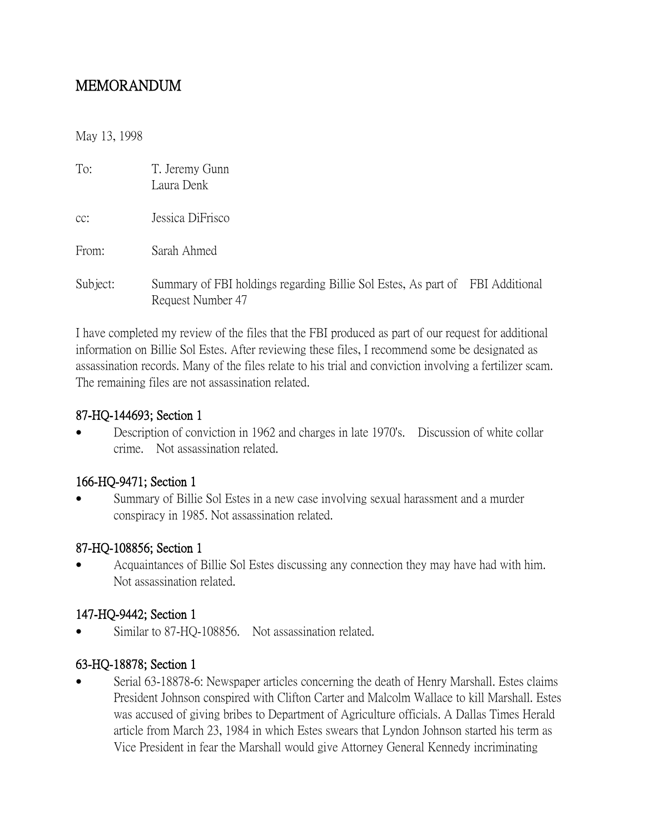# MEMORANDUM

May 13, 1998

| To:      | T. Jeremy Gunn<br>Laura Denk                                                                       |  |
|----------|----------------------------------------------------------------------------------------------------|--|
| $CC$ :   | Jessica DiFrisco                                                                                   |  |
| From:    | Sarah Ahmed                                                                                        |  |
| Subject: | Summary of FBI holdings regarding Billie Sol Estes, As part of FBI Additional<br>Request Number 47 |  |

I have completed my review of the files that the FBI produced as part of our request for additional information on Billie Sol Estes. After reviewing these files, I recommend some be designated as assassination records. Many of the files relate to his trial and conviction involving a fertilizer scam. The remaining files are not assassination related.

#### 87-HQ-144693; Section 1

 Description of conviction in 1962 and charges in late 1970's. Discussion of white collar crime. Not assassination related.

# 166-HQ-9471; Section 1

 Summary of Billie Sol Estes in a new case involving sexual harassment and a murder conspiracy in 1985. Not assassination related.

# 87-HQ-108856; Section 1

 Acquaintances of Billie Sol Estes discussing any connection they may have had with him. Not assassination related.

# 147-HQ-9442; Section 1

Similar to 87-HQ-108856. Not assassination related.

# 63-HQ-18878; Section 1

 Serial 63-18878-6: Newspaper articles concerning the death of Henry Marshall. Estes claims President Johnson conspired with Clifton Carter and Malcolm Wallace to kill Marshall. Estes was accused of giving bribes to Department of Agriculture officials. A Dallas Times Herald article from March 23, 1984 in which Estes swears that Lyndon Johnson started his term as Vice President in fear the Marshall would give Attorney General Kennedy incriminating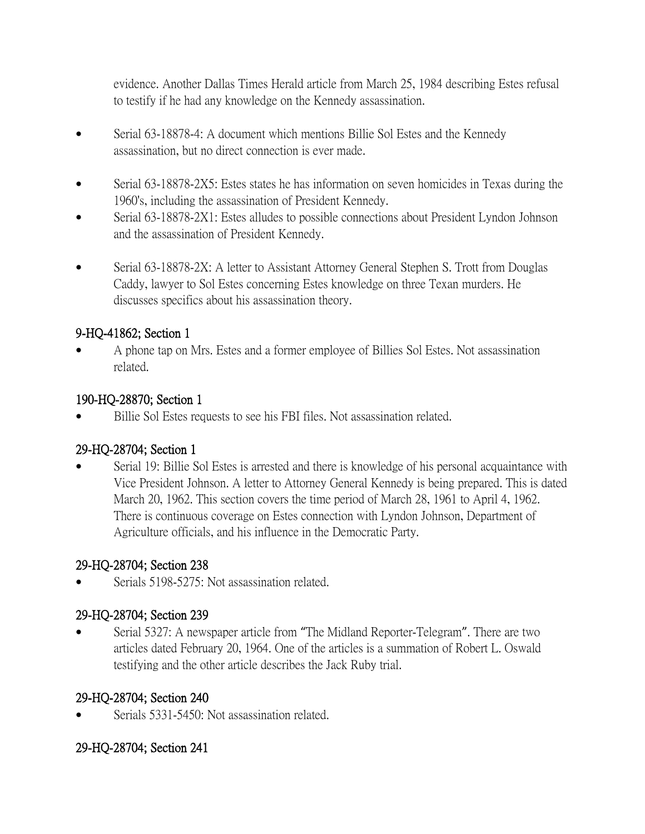evidence. Another Dallas Times Herald article from March 25, 1984 describing Estes refusal to testify if he had any knowledge on the Kennedy assassination.

- Serial 63-18878-4: A document which mentions Billie Sol Estes and the Kennedy assassination, but no direct connection is ever made.
- Serial 63-18878-2X5: Estes states he has information on seven homicides in Texas during the 1960's, including the assassination of President Kennedy.
- Serial 63-18878-2X1: Estes alludes to possible connections about President Lyndon Johnson and the assassination of President Kennedy.
- Serial 63-18878-2X: A letter to Assistant Attorney General Stephen S. Trott from Douglas Caddy, lawyer to Sol Estes concerning Estes knowledge on three Texan murders. He discusses specifics about his assassination theory.

# 9-HQ-41862; Section 1

 A phone tap on Mrs. Estes and a former employee of Billies Sol Estes. Not assassination related.

# 190-HQ-28870; Section 1

Billie Sol Estes requests to see his FBI files. Not assassination related.

# 29-HQ-28704; Section 1

 Serial 19: Billie Sol Estes is arrested and there is knowledge of his personal acquaintance with Vice President Johnson. A letter to Attorney General Kennedy is being prepared. This is dated March 20, 1962. This section covers the time period of March 28, 1961 to April 4, 1962. There is continuous coverage on Estes connection with Lyndon Johnson, Department of Agriculture officials, and his influence in the Democratic Party.

# 29-HQ-28704; Section 238

Serials 5198-5275: Not assassination related.

# 29-HQ-28704; Section 239

 Serial 5327: A newspaper article from "The Midland Reporter-Telegram". There are two articles dated February 20, 1964. One of the articles is a summation of Robert L. Oswald testifying and the other article describes the Jack Ruby trial.

# 29-HQ-28704; Section 240

Serials 5331-5450: Not assassination related.

# 29-HQ-28704; Section 241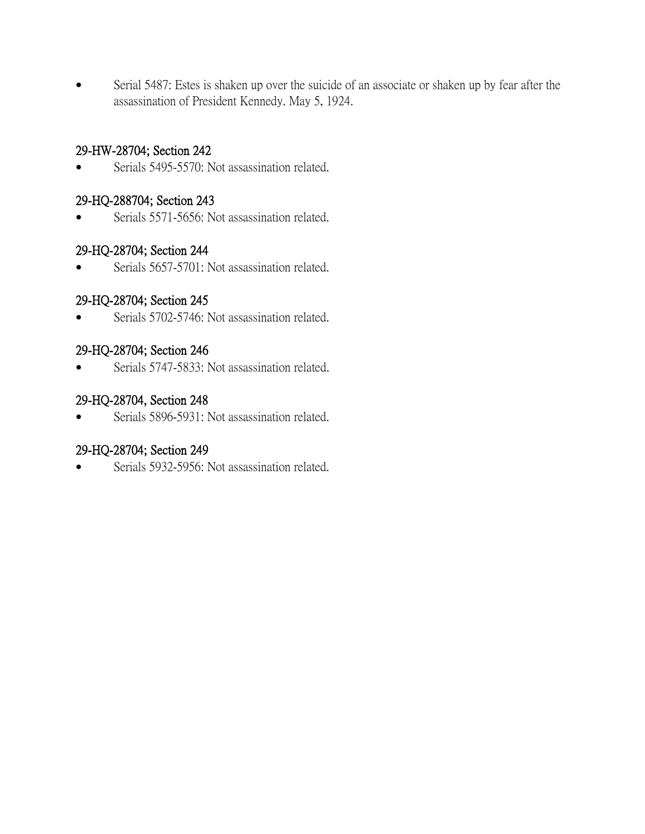Serial 5487: Estes is shaken up over the suicide of an associate or shaken up by fear after the assassination of President Kennedy. May 5, 1924.

### 29-HW-28704; Section 242

Serials 5495-5570: Not assassination related.

### 29-HQ-288704; Section 243

Serials 5571-5656: Not assassination related.

### 29-HQ-28704; Section 244

• Serials 5657-5701: Not assassination related.

### 29-HQ-28704; Section 245

• Serials 5702-5746: Not assassination related.

### 29-HQ-28704; Section 246

• Serials 5747-5833: Not assassination related.

### 29-HQ-28704, Section 248

Serials 5896-5931: Not assassination related.

# 29-HQ-28704; Section 249

• Serials 5932-5956: Not assassination related.